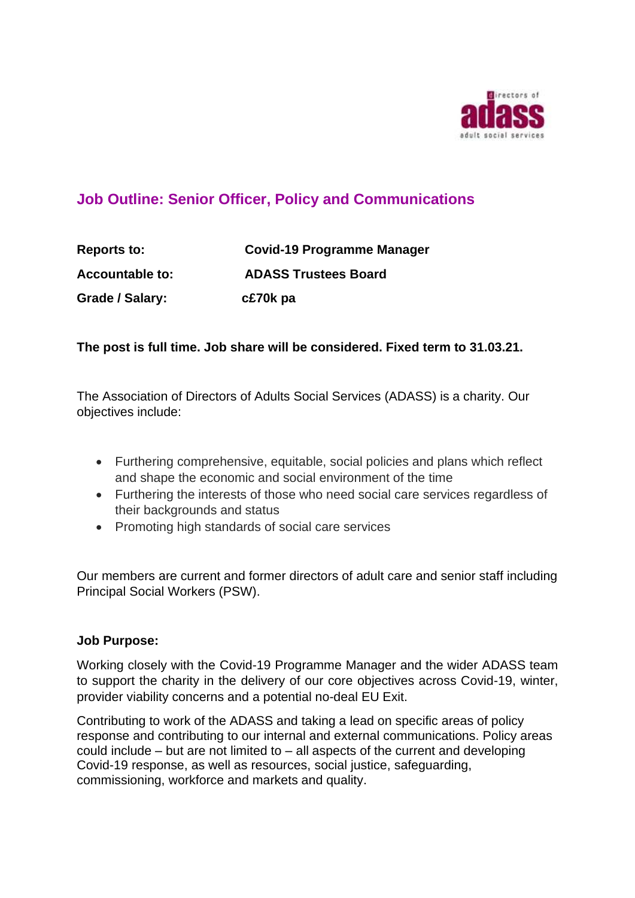

# **Job Outline: Senior Officer, Policy and Communications**

**Reports to: Covid-19 Programme Manager Accountable to: ADASS Trustees Board Grade / Salary: c£70k pa** 

### **The post is full time. Job share will be considered. Fixed term to 31.03.21.**

The Association of Directors of Adults Social Services (ADASS) is a charity. Our objectives include:

- Furthering comprehensive, equitable, social policies and plans which reflect and shape the economic and social environment of the time
- Furthering the interests of those who need social care services regardless of their backgrounds and status
- Promoting high standards of social care services

Our members are current and former directors of adult care and senior staff including Principal Social Workers (PSW).

### **Job Purpose:**

Working closely with the Covid-19 Programme Manager and the wider ADASS team to support the charity in the delivery of our core objectives across Covid-19, winter, provider viability concerns and a potential no-deal EU Exit.

Contributing to work of the ADASS and taking a lead on specific areas of policy response and contributing to our internal and external communications. Policy areas could include – but are not limited to – all aspects of the current and developing Covid-19 response, as well as resources, social justice, safeguarding, commissioning, workforce and markets and quality.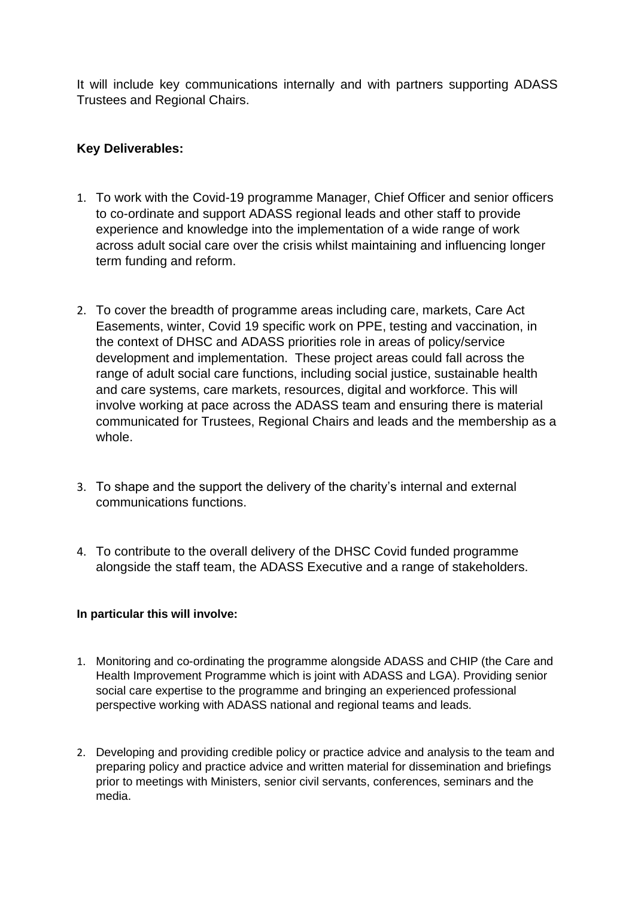It will include key communications internally and with partners supporting ADASS Trustees and Regional Chairs.

## **Key Deliverables:**

- 1. To work with the Covid-19 programme Manager, Chief Officer and senior officers to co-ordinate and support ADASS regional leads and other staff to provide experience and knowledge into the implementation of a wide range of work across adult social care over the crisis whilst maintaining and influencing longer term funding and reform.
- 2. To cover the breadth of programme areas including care, markets, Care Act Easements, winter, Covid 19 specific work on PPE, testing and vaccination, in the context of DHSC and ADASS priorities role in areas of policy/service development and implementation. These project areas could fall across the range of adult social care functions, including social justice, sustainable health and care systems, care markets, resources, digital and workforce. This will involve working at pace across the ADASS team and ensuring there is material communicated for Trustees, Regional Chairs and leads and the membership as a whole.
- 3. To shape and the support the delivery of the charity's internal and external communications functions.
- 4. To contribute to the overall delivery of the DHSC Covid funded programme alongside the staff team, the ADASS Executive and a range of stakeholders.

### **In particular this will involve:**

- 1. Monitoring and co-ordinating the programme alongside ADASS and CHIP (the Care and Health Improvement Programme which is joint with ADASS and LGA). Providing senior social care expertise to the programme and bringing an experienced professional perspective working with ADASS national and regional teams and leads.
- 2. Developing and providing credible policy or practice advice and analysis to the team and preparing policy and practice advice and written material for dissemination and briefings prior to meetings with Ministers, senior civil servants, conferences, seminars and the media.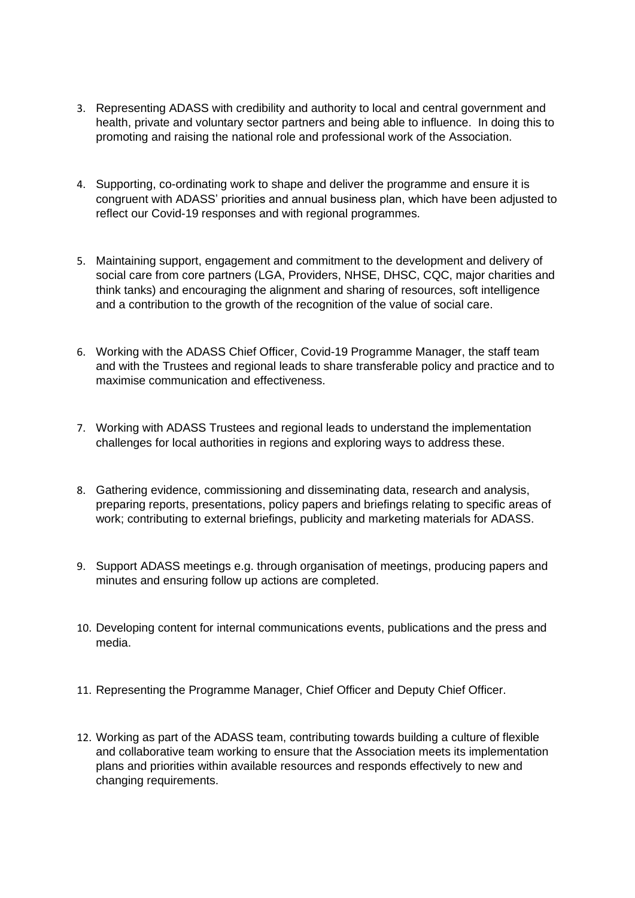- 3. Representing ADASS with credibility and authority to local and central government and health, private and voluntary sector partners and being able to influence. In doing this to promoting and raising the national role and professional work of the Association.
- 4. Supporting, co-ordinating work to shape and deliver the programme and ensure it is congruent with ADASS' priorities and annual business plan, which have been adjusted to reflect our Covid-19 responses and with regional programmes.
- 5. Maintaining support, engagement and commitment to the development and delivery of social care from core partners (LGA, Providers, NHSE, DHSC, CQC, major charities and think tanks) and encouraging the alignment and sharing of resources, soft intelligence and a contribution to the growth of the recognition of the value of social care.
- 6. Working with the ADASS Chief Officer, Covid-19 Programme Manager, the staff team and with the Trustees and regional leads to share transferable policy and practice and to maximise communication and effectiveness.
- 7. Working with ADASS Trustees and regional leads to understand the implementation challenges for local authorities in regions and exploring ways to address these.
- 8. Gathering evidence, commissioning and disseminating data, research and analysis, preparing reports, presentations, policy papers and briefings relating to specific areas of work; contributing to external briefings, publicity and marketing materials for ADASS.
- 9. Support ADASS meetings e.g. through organisation of meetings, producing papers and minutes and ensuring follow up actions are completed.
- 10. Developing content for internal communications events, publications and the press and media.
- 11. Representing the Programme Manager, Chief Officer and Deputy Chief Officer.
- 12. Working as part of the ADASS team, contributing towards building a culture of flexible and collaborative team working to ensure that the Association meets its implementation plans and priorities within available resources and responds effectively to new and changing requirements.